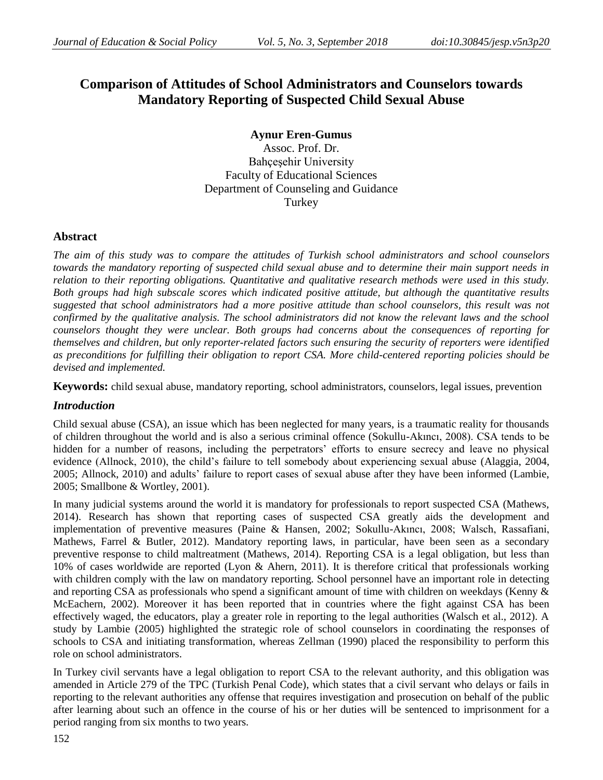# **Comparison of Attitudes of School Administrators and Counselors towards Mandatory Reporting of Suspected Child Sexual Abuse**

**Aynur Eren-Gumus**

Assoc. Prof. Dr. Bahçeşehir University Faculty of Educational Sciences Department of Counseling and Guidance Turkey

# **Abstract**

*The aim of this study was to compare the attitudes of Turkish school administrators and school counselors towards the mandatory reporting of suspected child sexual abuse and to determine their main support needs in relation to their reporting obligations. Quantitative and qualitative research methods were used in this study. Both groups had high subscale scores which indicated positive attitude, but although the quantitative results suggested that school administrators had a more positive attitude than school counselors, this result was not confirmed by the qualitative analysis. The school administrators did not know the relevant laws and the school counselors thought they were unclear. Both groups had concerns about the consequences of reporting for themselves and children, but only reporter-related factors such ensuring the security of reporters were identified as preconditions for fulfilling their obligation to report CSA. More child-centered reporting policies should be devised and implemented.*

**Keywords:** child sexual abuse, mandatory reporting, school administrators, counselors, legal issues, prevention

# *Introduction*

Child sexual abuse (CSA), an issue which has been neglected for many years, is a traumatic reality for thousands of children throughout the world and is also a serious criminal offence (Sokullu-Akıncı, 2008). CSA tends to be hidden for a number of reasons, including the perpetrators' efforts to ensure secrecy and leave no physical evidence (Allnock, 2010), the child"s failure to tell somebody about experiencing sexual abuse (Alaggia, 2004, 2005; Allnock, 2010) and adults" failure to report cases of sexual abuse after they have been informed (Lambie, 2005; Smallbone & Wortley, 2001).

In many judicial systems around the world it is mandatory for professionals to report suspected CSA (Mathews, 2014). Research has shown that reporting cases of suspected CSA greatly aids the development and implementation of preventive measures (Paine & Hansen, 2002; Sokullu-Akıncı, 2008; Walsch, Rassafiani, Mathews, Farrel & Butler, 2012). Mandatory reporting laws, in particular, have been seen as a secondary preventive response to child maltreatment (Mathews, 2014). Reporting CSA is a legal obligation, but less than 10% of cases worldwide are reported (Lyon & Ahern, 2011). It is therefore critical that professionals working with children comply with the law on mandatory reporting. School personnel have an important role in detecting and reporting CSA as professionals who spend a significant amount of time with children on weekdays (Kenny & McEachern, 2002). Moreover it has been reported that in countries where the fight against CSA has been effectively waged, the educators, play a greater role in reporting to the legal authorities (Walsch et al., 2012). A study by Lambie (2005) highlighted the strategic role of school counselors in coordinating the responses of schools to CSA and initiating transformation, whereas Zellman (1990) placed the responsibility to perform this role on school administrators.

In Turkey civil servants have a legal obligation to report CSA to the relevant authority, and this obligation was amended in Article 279 of the TPC (Turkish Penal Code), which states that a civil servant who delays or fails in reporting to the relevant authorities any offense that requires investigation and prosecution on behalf of the public after learning about such an offence in the course of his or her duties will be sentenced to imprisonment for a period ranging from six months to two years.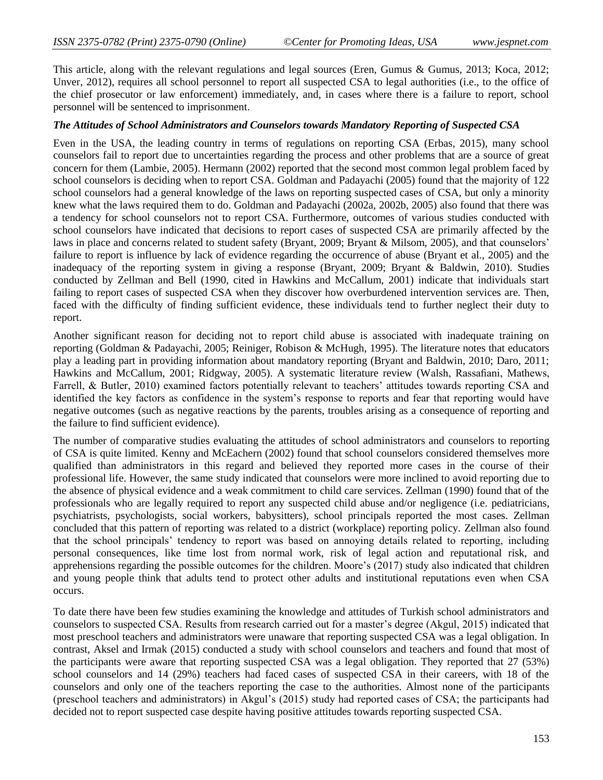This article, along with the relevant regulations and legal sources (Eren, Gumus & Gumus, 2013; Koca, 2012; Unver, 2012), requires all school personnel to report all suspected CSA to legal authorities (i.e., to the office of the chief prosecutor or law enforcement) immediately, and, in cases where there is a failure to report, school personnel will be sentenced to imprisonment.

#### *The Attitudes of School Administrators and Counselors towards Mandatory Reporting of Suspected CSA*

Even in the USA, the leading country in terms of regulations on reporting CSA (Erbas, 2015), many school counselors fail to report due to uncertainties regarding the process and other problems that are a source of great concern for them (Lambie, 2005). Hermann (2002) reported that the second most common legal problem faced by school counselors is deciding when to report CSA. Goldman and Padayachi (2005) found that the majority of 122 school counselors had a general knowledge of the laws on reporting suspected cases of CSA, but only a minority knew what the laws required them to do. Goldman and Padayachi (2002a, 2002b, 2005) also found that there was a tendency for school counselors not to report CSA. Furthermore, outcomes of various studies conducted with school counselors have indicated that decisions to report cases of suspected CSA are primarily affected by the laws in place and concerns related to student safety (Bryant, 2009; Bryant & Milsom, 2005), and that counselors' failure to report is influence by lack of evidence regarding the occurrence of abuse (Bryant et al., 2005) and the inadequacy of the reporting system in giving a response (Bryant, 2009; Bryant & Baldwin, 2010). Studies conducted by Zellman and Bell (1990, cited in Hawkins and McCallum, 2001) indicate that individuals start failing to report cases of suspected CSA when they discover how overburdened intervention services are. Then, faced with the difficulty of finding sufficient evidence, these individuals tend to further neglect their duty to report.

Another significant reason for deciding not to report child abuse is associated with inadequate training on reporting (Goldman & Padayachi, 2005; Reiniger, Robison & McHugh, 1995). The literature notes that educators play a leading part in providing information about mandatory reporting (Bryant and Baldwin, 2010; Daro, 2011; Hawkins and McCallum, 2001; Ridgway, 2005). A systematic literature review (Walsh, Rassafiani, Mathews, Farrell, & Butler, 2010) examined factors potentially relevant to teachers' attitudes towards reporting CSA and identified the key factors as confidence in the system"s response to reports and fear that reporting would have negative outcomes (such as negative reactions by the parents, troubles arising as a consequence of reporting and the failure to find sufficient evidence).

The number of comparative studies evaluating the attitudes of school administrators and counselors to reporting of CSA is quite limited. Kenny and McEachern (2002) found that school counselors considered themselves more qualified than administrators in this regard and believed they reported more cases in the course of their professional life. However, the same study indicated that counselors were more inclined to avoid reporting due to the absence of physical evidence and a weak commitment to child care services. Zellman (1990) found that of the professionals who are legally required to report any suspected child abuse and/or negligence (i.e. pediatricians, psychiatrists, psychologists, social workers, babysitters), school principals reported the most cases. Zellman concluded that this pattern of reporting was related to a district (workplace) reporting policy. Zellman also found that the school principals" tendency to report was based on annoying details related to reporting, including personal consequences, like time lost from normal work, risk of legal action and reputational risk, and apprehensions regarding the possible outcomes for the children. Moore's (2017) study also indicated that children and young people think that adults tend to protect other adults and institutional reputations even when CSA occurs.

To date there have been few studies examining the knowledge and attitudes of Turkish school administrators and counselors to suspected CSA. Results from research carried out for a master"s degree (Akgul, 2015) indicated that most preschool teachers and administrators were unaware that reporting suspected CSA was a legal obligation. In contrast, Aksel and Irmak (2015) conducted a study with school counselors and teachers and found that most of the participants were aware that reporting suspected CSA was a legal obligation. They reported that 27 (53%) school counselors and 14 (29%) teachers had faced cases of suspected CSA in their careers, with 18 of the counselors and only one of the teachers reporting the case to the authorities. Almost none of the participants (preschool teachers and administrators) in Akgul"s (2015) study had reported cases of CSA; the participants had decided not to report suspected case despite having positive attitudes towards reporting suspected CSA.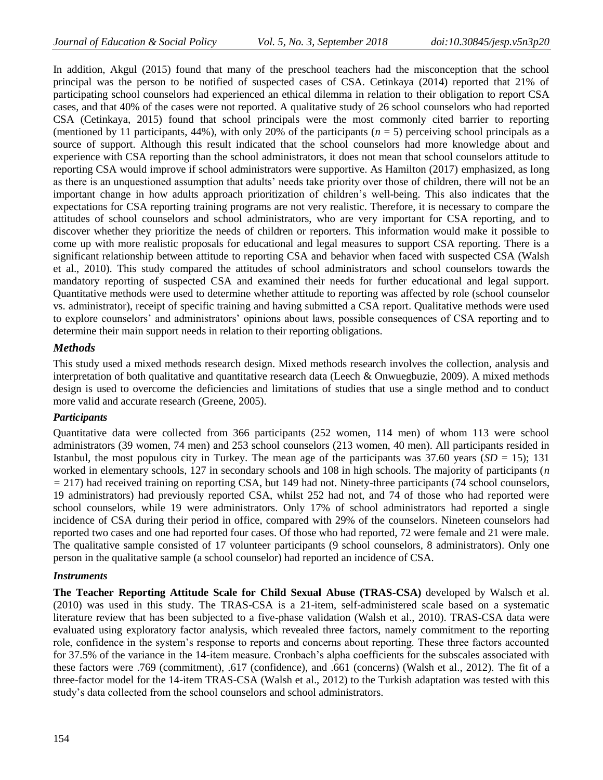In addition, Akgul (2015) found that many of the preschool teachers had the misconception that the school principal was the person to be notified of suspected cases of CSA. Cetinkaya (2014) reported that 21% of participating school counselors had experienced an ethical dilemma in relation to their obligation to report CSA cases, and that 40% of the cases were not reported. A qualitative study of 26 school counselors who had reported CSA (Cetinkaya, 2015) found that school principals were the most commonly cited barrier to reporting (mentioned by 11 participants,  $44\%$ ), with only 20% of the participants ( $n = 5$ ) perceiving school principals as a source of support. Although this result indicated that the school counselors had more knowledge about and experience with CSA reporting than the school administrators, it does not mean that school counselors attitude to reporting CSA would improve if school administrators were supportive. As Hamilton (2017) emphasized, as long as there is an unquestioned assumption that adults' needs take priority over those of children, there will not be an important change in how adults approach prioritization of children"s well-being. This also indicates that the expectations for CSA reporting training programs are not very realistic. Therefore, it is necessary to compare the attitudes of school counselors and school administrators, who are very important for CSA reporting, and to discover whether they prioritize the needs of children or reporters. This information would make it possible to come up with more realistic proposals for educational and legal measures to support CSA reporting. There is a significant relationship between attitude to reporting CSA and behavior when faced with suspected CSA (Walsh et al., 2010). This study compared the attitudes of school administrators and school counselors towards the mandatory reporting of suspected CSA and examined their needs for further educational and legal support. Quantitative methods were used to determine whether attitude to reporting was affected by role (school counselor vs. administrator), receipt of specific training and having submitted a CSA report. Qualitative methods were used to explore counselors" and administrators" opinions about laws, possible consequences of CSA reporting and to determine their main support needs in relation to their reporting obligations.

# *Methods*

This study used a mixed methods research design. Mixed methods research involves the collection, analysis and interpretation of both qualitative and quantitative research data (Leech & Onwuegbuzie, 2009). A mixed methods design is used to overcome the deficiencies and limitations of studies that use a single method and to conduct more valid and accurate research (Greene, 2005).

# *Participants*

Quantitative data were collected from 366 participants (252 women, 114 men) of whom 113 were school administrators (39 women, 74 men) and 253 school counselors (213 women, 40 men). All participants resided in Istanbul, the most populous city in Turkey. The mean age of the participants was  $37.60$  years (*SD* = 15); 131 worked in elementary schools, 127 in secondary schools and 108 in high schools. The majority of participants (*n =* 217) had received training on reporting CSA, but 149 had not. Ninety-three participants (74 school counselors, 19 administrators) had previously reported CSA, whilst 252 had not, and 74 of those who had reported were school counselors, while 19 were administrators. Only 17% of school administrators had reported a single incidence of CSA during their period in office, compared with 29% of the counselors. Nineteen counselors had reported two cases and one had reported four cases. Of those who had reported, 72 were female and 21 were male. The qualitative sample consisted of 17 volunteer participants (9 school counselors, 8 administrators). Only one person in the qualitative sample (a school counselor) had reported an incidence of CSA.

# *Instruments*

**The Teacher Reporting Attitude Scale for Child Sexual Abuse (TRAS-CSA)** developed by Walsch et al. (2010) was used in this study. The TRAS-CSA is a 21-item, self-administered scale based on a systematic literature review that has been subjected to a five-phase validation (Walsh et al., 2010). TRAS-CSA data were evaluated using exploratory factor analysis, which revealed three factors, namely commitment to the reporting role, confidence in the system"s response to reports and concerns about reporting. These three factors accounted for 37.5% of the variance in the 14-item measure. Cronbach"s alpha coefficients for the subscales associated with these factors were .769 (commitment), .617 (confidence), and .661 (concerns) (Walsh et al., 2012). The fit of a three-factor model for the 14-item TRAS-CSA (Walsh et al., 2012) to the Turkish adaptation was tested with this study"s data collected from the school counselors and school administrators.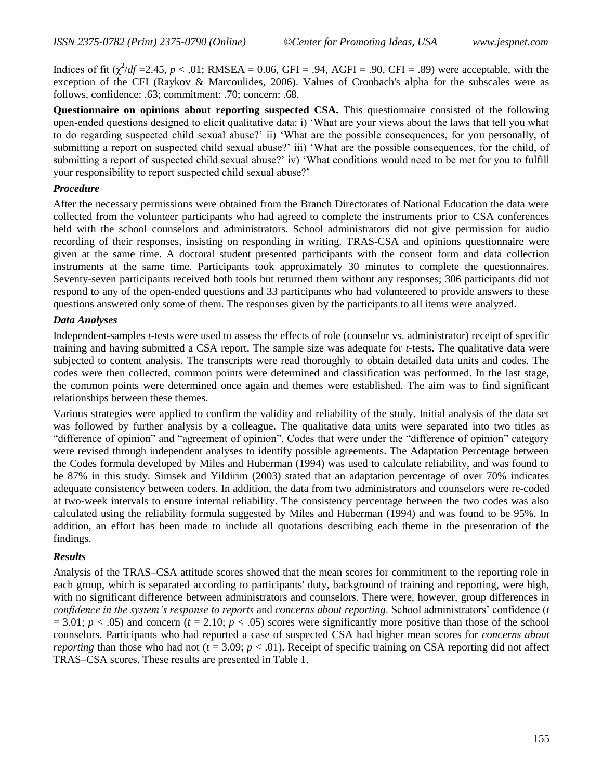Indices of fit  $(\chi^2/df = 2.45, p < .01;$  RMSEA = 0.06, GFI = .94, AGFI = .90, CFI = .89) were acceptable, with the exception of the CFI (Raykov & Marcoulides, 2006). Values of Cronbach's alpha for the subscales were as follows, confidence: .63; commitment: .70; concern: .68.

**Questionnaire on opinions about reporting suspected CSA.** This questionnaire consisted of the following open-ended questions designed to elicit qualitative data: i) "What are your views about the laws that tell you what to do regarding suspected child sexual abuse?" ii) "What are the possible consequences, for you personally, of submitting a report on suspected child sexual abuse?' iii) 'What are the possible consequences, for the child, of submitting a report of suspected child sexual abuse?" iv) "What conditions would need to be met for you to fulfill your responsibility to report suspected child sexual abuse?"

#### *Procedure*

After the necessary permissions were obtained from the Branch Directorates of National Education the data were collected from the volunteer participants who had agreed to complete the instruments prior to CSA conferences held with the school counselors and administrators. School administrators did not give permission for audio recording of their responses, insisting on responding in writing. TRAS-CSA and opinions questionnaire were given at the same time. A doctoral student presented participants with the consent form and data collection instruments at the same time. Participants took approximately 30 minutes to complete the questionnaires. Seventy-seven participants received both tools but returned them without any responses; 306 participants did not respond to any of the open-ended questions and 33 participants who had volunteered to provide answers to these questions answered only some of them. The responses given by the participants to all items were analyzed.

#### *Data Analyses*

Independent-samples *t*-tests were used to assess the effects of role (counselor vs. administrator) receipt of specific training and having submitted a CSA report. The sample size was adequate for *t*-tests. The qualitative data were subjected to content analysis. The transcripts were read thoroughly to obtain detailed data units and codes. The codes were then collected, common points were determined and classification was performed. In the last stage, the common points were determined once again and themes were established. The aim was to find significant relationships between these themes.

Various strategies were applied to confirm the validity and reliability of the study. Initial analysis of the data set was followed by further analysis by a colleague. The qualitative data units were separated into two titles as "difference of opinion" and "agreement of opinion". Codes that were under the "difference of opinion" category were revised through independent analyses to identify possible agreements. The Adaptation Percentage between the Codes formula developed by Miles and Huberman (1994) was used to calculate reliability, and was found to be 87% in this study. Simsek and Yildirim (2003) stated that an adaptation percentage of over 70% indicates adequate consistency between coders. In addition, the data from two administrators and counselors were re-coded at two-week intervals to ensure internal reliability. The consistency percentage between the two codes was also calculated using the reliability formula suggested by Miles and Huberman (1994) and was found to be 95%. In addition, an effort has been made to include all quotations describing each theme in the presentation of the findings.

#### *Results*

Analysis of the TRAS–CSA attitude scores showed that the mean scores for commitment to the reporting role in each group, which is separated according to participants' duty, background of training and reporting, were high, with no significant difference between administrators and counselors. There were, however, group differences in *confidence in the system's response to reports* and *concerns about reporting*. School administrators" confidence (*t*   $= 3.01$ ;  $p < .05$ ) and concern ( $t = 2.10$ ;  $p < .05$ ) scores were significantly more positive than those of the school counselors. Participants who had reported a case of suspected CSA had higher mean scores for *concerns about reporting* than those who had not  $(t = 3.09; p < .01)$ . Receipt of specific training on CSA reporting did not affect TRAS–CSA scores. These results are presented in Table 1.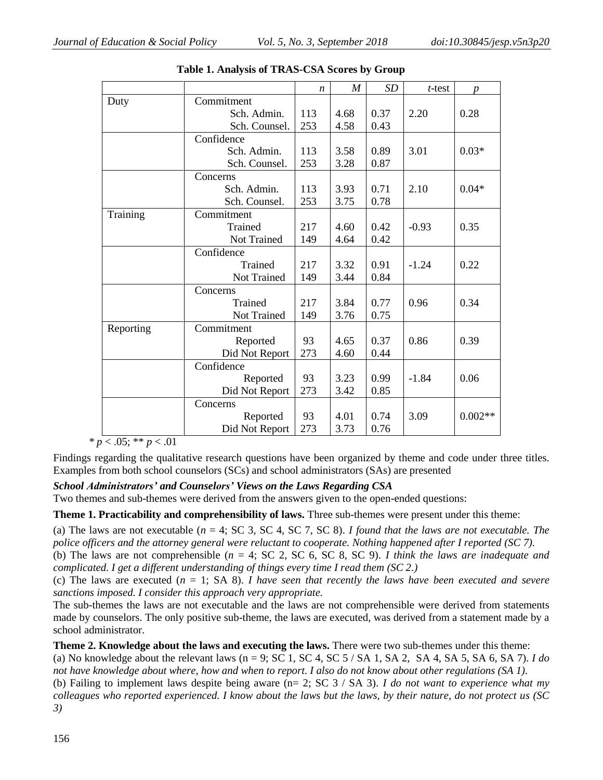|           |                | n   | M    | <b>SD</b> | $t$ -test | $\boldsymbol{p}$ |
|-----------|----------------|-----|------|-----------|-----------|------------------|
| Duty      | Commitment     |     |      |           |           |                  |
|           | Sch. Admin.    | 113 | 4.68 | 0.37      | 2.20      | 0.28             |
|           | Sch. Counsel.  | 253 | 4.58 | 0.43      |           |                  |
|           | Confidence     |     |      |           |           |                  |
|           | Sch. Admin.    | 113 | 3.58 | 0.89      | 3.01      | $0.03*$          |
|           | Sch. Counsel.  | 253 | 3.28 | 0.87      |           |                  |
|           | Concerns       |     |      |           |           |                  |
|           | Sch. Admin.    | 113 | 3.93 | 0.71      | 2.10      | $0.04*$          |
|           | Sch. Counsel.  | 253 | 3.75 | 0.78      |           |                  |
| Training  | Commitment     |     |      |           |           |                  |
|           | Trained        | 217 | 4.60 | 0.42      | $-0.93$   | 0.35             |
|           | Not Trained    | 149 | 4.64 | 0.42      |           |                  |
|           | Confidence     |     |      |           |           |                  |
|           | Trained        | 217 | 3.32 | 0.91      | $-1.24$   | 0.22             |
|           | Not Trained    | 149 | 3.44 | 0.84      |           |                  |
|           | Concerns       |     |      |           |           |                  |
|           | Trained        | 217 | 3.84 | 0.77      | 0.96      | 0.34             |
|           | Not Trained    | 149 | 3.76 | 0.75      |           |                  |
| Reporting | Commitment     |     |      |           |           |                  |
|           | Reported       | 93  | 4.65 | 0.37      | 0.86      | 0.39             |
|           | Did Not Report | 273 | 4.60 | 0.44      |           |                  |
|           | Confidence     |     |      |           |           |                  |
|           | Reported       | 93  | 3.23 | 0.99      | $-1.84$   | 0.06             |
|           | Did Not Report | 273 | 3.42 | 0.85      |           |                  |
|           | Concerns       |     |      |           |           |                  |
|           | Reported       | 93  | 4.01 | 0.74      | 3.09      | $0.002**$        |
|           | Did Not Report | 273 | 3.73 | 0.76      |           |                  |

|  | Table 1. Analysis of TRAS-CSA Scores by Group |  |
|--|-----------------------------------------------|--|
|  |                                               |  |

*\* p* < .05; \*\* *p* < .01

Findings regarding the qualitative research questions have been organized by theme and code under three titles. Examples from both school counselors (SCs) and school administrators (SAs) are presented

# *School Administrators' and Counselors' Views on the Laws Regarding CSA*

Two themes and sub-themes were derived from the answers given to the open-ended questions:

**Theme 1. Practicability and comprehensibility of laws.** Three sub-themes were present under this theme:

(a) The laws are not executable (*n* = 4; SC 3, SC 4, SC 7, SC 8). *I found that the laws are not executable. The police officers and the attorney general were reluctant to cooperate. Nothing happened after I reported (SC 7).*

(b) The laws are not comprehensible  $(n = 4; SC 2, SC 6, SC 8, SC 9)$ . *I think the laws are inadequate and complicated. I get a different understanding of things every time I read them (SC 2.)*

(c) The laws are executed (*n* = 1; SA 8). *I have seen that recently the laws have been executed and severe sanctions imposed. I consider this approach very appropriate.*

The sub-themes the laws are not executable and the laws are not comprehensible were derived from statements made by counselors. The only positive sub-theme, the laws are executed, was derived from a statement made by a school administrator.

**Theme 2. Knowledge about the laws and executing the laws.** There were two sub-themes under this theme:

(a) No knowledge about the relevant laws ( $n = 9$ ; SC 1, SC 4, SC 5 / SA 1, SA 2, SA 4, SA 5, SA 6, SA 7). *I do not have knowledge about where, how and when to report. I also do not know about other regulations (SA 1).*

(b) Failing to implement laws despite being aware (n= 2; SC 3 / SA 3). *I do not want to experience what my colleagues who reported experienced. I know about the laws but the laws, by their nature, do not protect us (SC 3)*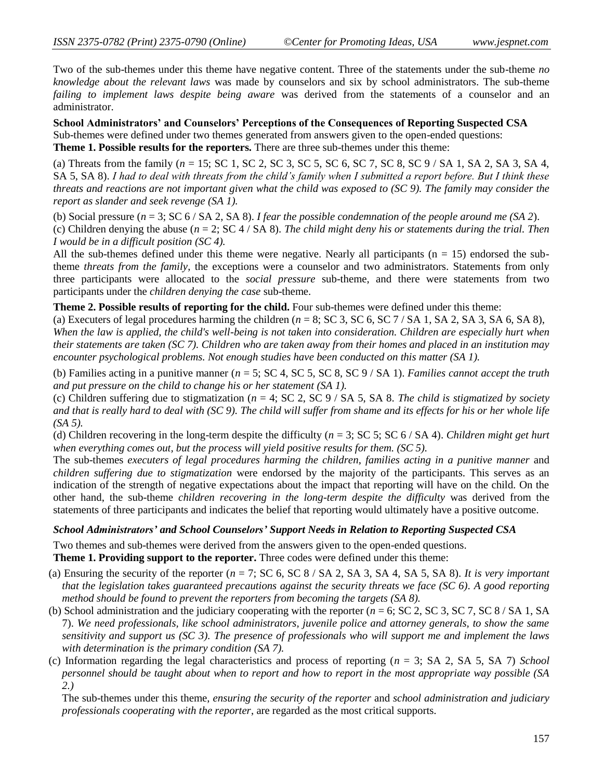Two of the sub-themes under this theme have negative content. Three of the statements under the sub-theme *no knowledge about the relevant laws* was made by counselors and six by school administrators. The sub-theme *failing to implement laws despite being aware* was derived from the statements of a counselor and an administrator.

**School Administrators' and Counselors' Perceptions of the Consequences of Reporting Suspected CSA** Sub-themes were defined under two themes generated from answers given to the open-ended questions: **Theme 1. Possible results for the reporters.** There are three sub-themes under this theme:

(a) Threats from the family (*n* = 15; SC 1, SC 2, SC 3, SC 5, SC 6, SC 7, SC 8, SC 9 / SA 1, SA 2, SA 3, SA 4, SA 5, SA 8). *I had to deal with threats from the child's family when I submitted a report before. But I think these threats and reactions are not important given what the child was exposed to (SC 9). The family may consider the report as slander and seek revenge (SA 1).*

(b) Social pressure (*n* = 3; SC 6 / SA 2, SA 8). *I fear the possible condemnation of the people around me (SA 2*). (c) Children denying the abuse  $(n = 2; SC 4 / SA 8)$ . *The child might deny his or statements during the trial. Then I would be in a difficult position (SC 4).*

All the sub-themes defined under this theme were negative. Nearly all participants ( $n = 15$ ) endorsed the subtheme *threats from the family*, the exceptions were a counselor and two administrators. Statements from only three participants were allocated to the *social pressure* sub-theme, and there were statements from two participants under the *children denying the case* sub-theme.

**Theme 2. Possible results of reporting for the child.** Four sub-themes were defined under this theme:

(a) Executers of legal procedures harming the children  $(n = 8; SC 3, SC 6, SC 7 / SA 1, SA 2, SA 3, SA 6, SA 8)$ , *When the law is applied, the child's well-being is not taken into consideration. Children are especially hurt when their statements are taken (SC 7). Children who are taken away from their homes and placed in an institution may encounter psychological problems. Not enough studies have been conducted on this matter (SA 1).*

(b) Families acting in a punitive manner (*n* = 5; SC 4, SC 5, SC 8, SC 9 / SA 1). *Families cannot accept the truth and put pressure on the child to change his or her statement (SA 1).*

(c) Children suffering due to stigmatization (*n* = 4; SC 2, SC 9 / SA 5, SA 8. *The child is stigmatized by society and that is really hard to deal with (SC 9). The child will suffer from shame and its effects for his or her whole life (SA 5).*

(d) Children recovering in the long-term despite the difficulty ( $n = 3$ ; SC 5; SC 6 / SA 4). *Children might get hurt when everything comes out, but the process will yield positive results for them. (SC 5).*

The sub-themes *executers of legal procedures harming the children*, *families acting in a punitive manner* and *children suffering due to stigmatization* were endorsed by the majority of the participants. This serves as an indication of the strength of negative expectations about the impact that reporting will have on the child. On the other hand, the sub-theme *children recovering in the long-term despite the difficulty* was derived from the statements of three participants and indicates the belief that reporting would ultimately have a positive outcome.

# *School Administrators' and School Counselors' Support Needs in Relation to Reporting Suspected CSA*

Two themes and sub-themes were derived from the answers given to the open-ended questions.

**Theme 1. Providing support to the reporter.** Three codes were defined under this theme:

- (a) Ensuring the security of the reporter  $(n = 7; SC 6, SC 8 / SA 2, SA 3, SA 4, SA 5, SA 8)$ . *It is very important that the legislation takes guaranteed precautions against the security threats we face (SC 6). A good reporting method should be found to prevent the reporters from becoming the targets (SA 8).*
- (b) School administration and the judiciary cooperating with the reporter  $(n = 6; SC 2, SC 3, SC 7, SC 8 / SA 1, SA)$ 7). *We need professionals, like school administrators, juvenile police and attorney generals, to show the same sensitivity and support us (SC 3). The presence of professionals who will support me and implement the laws with determination is the primary condition (SA 7).*
- (c) Information regarding the legal characteristics and process of reporting (*n* = 3; SA 2, SA 5, SA 7) *School personnel should be taught about when to report and how to report in the most appropriate way possible (SA 2.)*

The sub-themes under this theme, *ensuring the security of the reporter* and *school administration and judiciary professionals cooperating with the reporter*, are regarded as the most critical supports.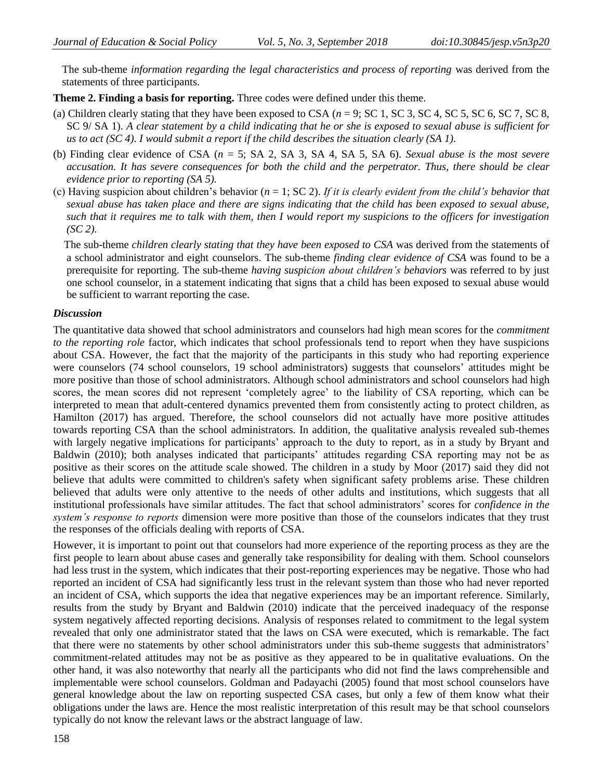The sub-theme *information regarding the legal characteristics and process of reporting* was derived from the statements of three participants.

**Theme 2. Finding a basis for reporting.** Three codes were defined under this theme.

- (a) Children clearly stating that they have been exposed to CSA (*n* = 9; SC 1, SC 3, SC 4, SC 5, SC 6, SC 7, SC 8, SC 9/ SA 1). *A clear statement by a child indicating that he or she is exposed to sexual abuse is sufficient for us to act (SC 4). I would submit a report if the child describes the situation clearly (SA 1).*
- (b) Finding clear evidence of CSA (*n* = 5; SA 2, SA 3, SA 4, SA 5, SA 6). *Sexual abuse is the most severe accusation. It has severe consequences for both the child and the perpetrator. Thus, there should be clear evidence prior to reporting (SA 5).*
- (c) Having suspicion about children's behavior  $(n = 1; SC 2)$ . *If it is clearly evident from the child's behavior that sexual abuse has taken place and there are signs indicating that the child has been exposed to sexual abuse, such that it requires me to talk with them, then I would report my suspicions to the officers for investigation (SC 2).*

 The sub-theme *children clearly stating that they have been exposed to CSA* was derived from the statements of a school administrator and eight counselors. The sub-theme *finding clear evidence of CSA* was found to be a prerequisite for reporting. The sub-theme *having suspicion about children's behaviors* was referred to by just one school counselor, in a statement indicating that signs that a child has been exposed to sexual abuse would be sufficient to warrant reporting the case.

# *Discussion*

The quantitative data showed that school administrators and counselors had high mean scores for the *commitment to the reporting role* factor, which indicates that school professionals tend to report when they have suspicions about CSA. However, the fact that the majority of the participants in this study who had reporting experience were counselors (74 school counselors, 19 school administrators) suggests that counselors' attitudes might be more positive than those of school administrators. Although school administrators and school counselors had high scores, the mean scores did not represent 'completely agree' to the liability of CSA reporting, which can be interpreted to mean that adult-centered dynamics prevented them from consistently acting to protect children, as Hamilton (2017) has argued. Therefore, the school counselors did not actually have more positive attitudes towards reporting CSA than the school administrators. In addition, the qualitative analysis revealed sub-themes with largely negative implications for participants' approach to the duty to report, as in a study by Bryant and Baldwin (2010); both analyses indicated that participants' attitudes regarding CSA reporting may not be as positive as their scores on the attitude scale showed. The children in a study by Moor (2017) said they did not believe that adults were committed to children's safety when significant safety problems arise. These children believed that adults were only attentive to the needs of other adults and institutions, which suggests that all institutional professionals have similar attitudes. The fact that school administrators' scores for *confidence in the system's response to reports* dimension were more positive than those of the counselors indicates that they trust the responses of the officials dealing with reports of CSA.

However, it is important to point out that counselors had more experience of the reporting process as they are the first people to learn about abuse cases and generally take responsibility for dealing with them. School counselors had less trust in the system, which indicates that their post-reporting experiences may be negative. Those who had reported an incident of CSA had significantly less trust in the relevant system than those who had never reported an incident of CSA, which supports the idea that negative experiences may be an important reference. Similarly, results from the study by Bryant and Baldwin (2010) indicate that the perceived inadequacy of the response system negatively affected reporting decisions. Analysis of responses related to commitment to the legal system revealed that only one administrator stated that the laws on CSA were executed, which is remarkable. The fact that there were no statements by other school administrators under this sub-theme suggests that administrators' commitment-related attitudes may not be as positive as they appeared to be in qualitative evaluations. On the other hand, it was also noteworthy that nearly all the participants who did not find the laws comprehensible and implementable were school counselors. Goldman and Padayachi (2005) found that most school counselors have general knowledge about the law on reporting suspected CSA cases, but only a few of them know what their obligations under the laws are. Hence the most realistic interpretation of this result may be that school counselors typically do not know the relevant laws or the abstract language of law.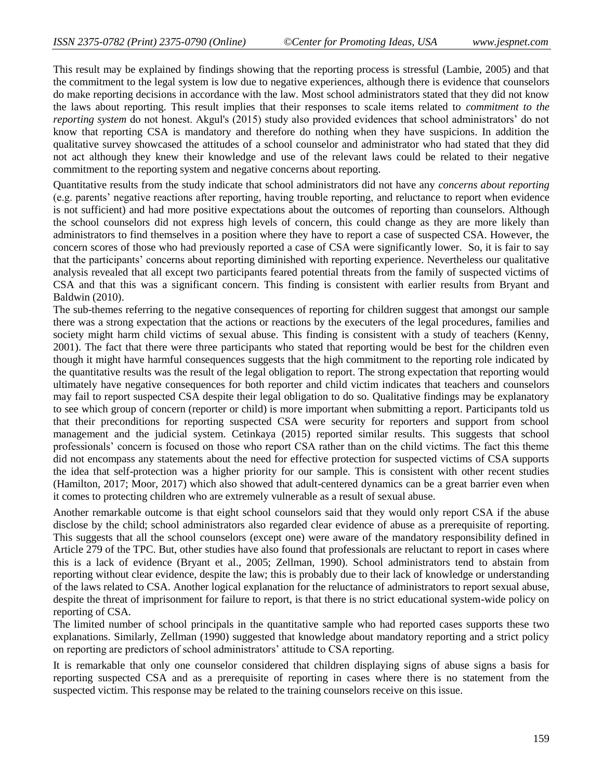This result may be explained by findings showing that the reporting process is stressful (Lambie, 2005) and that the commitment to the legal system is low due to negative experiences, although there is evidence that counselors do make reporting decisions in accordance with the law. Most school administrators stated that they did not know the laws about reporting. This result implies that their responses to scale items related to *commitment to the reporting system* do not honest. Akgul's (2015) study also provided evidences that school administrators" do not know that reporting CSA is mandatory and therefore do nothing when they have suspicions. In addition the qualitative survey showcased the attitudes of a school counselor and administrator who had stated that they did not act although they knew their knowledge and use of the relevant laws could be related to their negative commitment to the reporting system and negative concerns about reporting.

Quantitative results from the study indicate that school administrators did not have any *concerns about reporting* (e.g. parents" negative reactions after reporting, having trouble reporting, and reluctance to report when evidence is not sufficient) and had more positive expectations about the outcomes of reporting than counselors. Although the school counselors did not express high levels of concern, this could change as they are more likely than administrators to find themselves in a position where they have to report a case of suspected CSA. However, the concern scores of those who had previously reported a case of CSA were significantly lower. So, it is fair to say that the participants" concerns about reporting diminished with reporting experience. Nevertheless our qualitative analysis revealed that all except two participants feared potential threats from the family of suspected victims of CSA and that this was a significant concern. This finding is consistent with earlier results from Bryant and Baldwin (2010).

The sub-themes referring to the negative consequences of reporting for children suggest that amongst our sample there was a strong expectation that the actions or reactions by the executers of the legal procedures, families and society might harm child victims of sexual abuse. This finding is consistent with a study of teachers (Kenny, 2001). The fact that there were three participants who stated that reporting would be best for the children even though it might have harmful consequences suggests that the high commitment to the reporting role indicated by the quantitative results was the result of the legal obligation to report. The strong expectation that reporting would ultimately have negative consequences for both reporter and child victim indicates that teachers and counselors may fail to report suspected CSA despite their legal obligation to do so. Qualitative findings may be explanatory to see which group of concern (reporter or child) is more important when submitting a report. Participants told us that their preconditions for reporting suspected CSA were security for reporters and support from school management and the judicial system. Cetinkaya (2015) reported similar results. This suggests that school professionals" concern is focused on those who report CSA rather than on the child victims. The fact this theme did not encompass any statements about the need for effective protection for suspected victims of CSA supports the idea that self-protection was a higher priority for our sample. This is consistent with other recent studies (Hamilton, 2017; Moor, 2017) which also showed that adult-centered dynamics can be a great barrier even when it comes to protecting children who are extremely vulnerable as a result of sexual abuse.

Another remarkable outcome is that eight school counselors said that they would only report CSA if the abuse disclose by the child; school administrators also regarded clear evidence of abuse as a prerequisite of reporting. This suggests that all the school counselors (except one) were aware of the mandatory responsibility defined in Article 279 of the TPC. But, other studies have also found that professionals are reluctant to report in cases where this is a lack of evidence (Bryant et al., 2005; Zellman, 1990). School administrators tend to abstain from reporting without clear evidence, despite the law; this is probably due to their lack of knowledge or understanding of the laws related to CSA. Another logical explanation for the reluctance of administrators to report sexual abuse, despite the threat of imprisonment for failure to report, is that there is no strict educational system-wide policy on reporting of CSA.

The limited number of school principals in the quantitative sample who had reported cases supports these two explanations. Similarly, Zellman (1990) suggested that knowledge about mandatory reporting and a strict policy on reporting are predictors of school administrators" attitude to CSA reporting.

It is remarkable that only one counselor considered that children displaying signs of abuse signs a basis for reporting suspected CSA and as a prerequisite of reporting in cases where there is no statement from the suspected victim. This response may be related to the training counselors receive on this issue.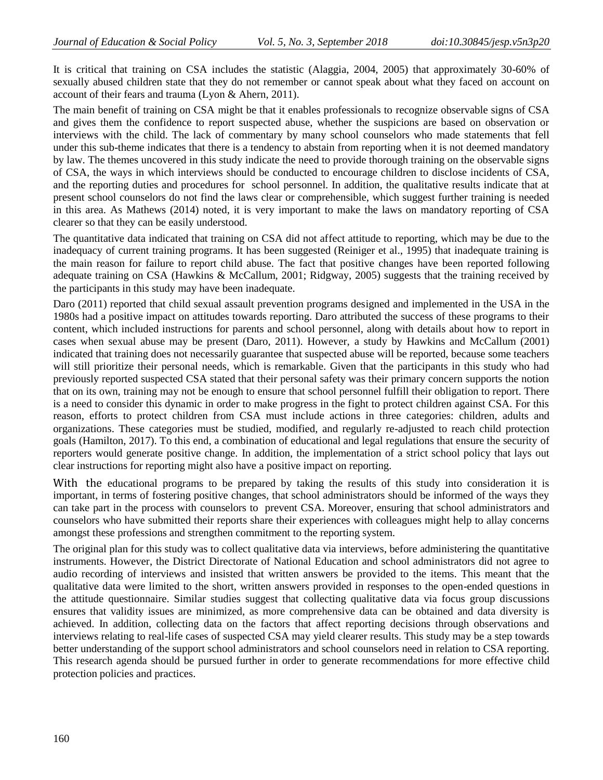It is critical that training on CSA includes the statistic (Alaggia, 2004, 2005) that approximately 30-60% of sexually abused children state that they do not remember or cannot speak about what they faced on account on account of their fears and trauma (Lyon & Ahern, 2011).

The main benefit of training on CSA might be that it enables professionals to recognize observable signs of CSA and gives them the confidence to report suspected abuse, whether the suspicions are based on observation or interviews with the child. The lack of commentary by many school counselors who made statements that fell under this sub-theme indicates that there is a tendency to abstain from reporting when it is not deemed mandatory by law. The themes uncovered in this study indicate the need to provide thorough training on the observable signs of CSA, the ways in which interviews should be conducted to encourage children to disclose incidents of CSA, and the reporting duties and procedures for school personnel. In addition, the qualitative results indicate that at present school counselors do not find the laws clear or comprehensible, which suggest further training is needed in this area. As Mathews (2014) noted, it is very important to make the laws on mandatory reporting of CSA clearer so that they can be easily understood.

The quantitative data indicated that training on CSA did not affect attitude to reporting, which may be due to the inadequacy of current training programs. It has been suggested (Reiniger et al., 1995) that inadequate training is the main reason for failure to report child abuse. The fact that positive changes have been reported following adequate training on CSA (Hawkins & McCallum, 2001; Ridgway, 2005) suggests that the training received by the participants in this study may have been inadequate.

Daro (2011) reported that child sexual assault prevention programs designed and implemented in the USA in the 1980s had a positive impact on attitudes towards reporting. Daro attributed the success of these programs to their content, which included instructions for parents and school personnel, along with details about how to report in cases when sexual abuse may be present (Daro, 2011). However, a study by Hawkins and McCallum (2001) indicated that training does not necessarily guarantee that suspected abuse will be reported, because some teachers will still prioritize their personal needs, which is remarkable. Given that the participants in this study who had previously reported suspected CSA stated that their personal safety was their primary concern supports the notion that on its own, training may not be enough to ensure that school personnel fulfill their obligation to report. There is a need to consider this dynamic in order to make progress in the fight to protect children against CSA. For this reason, efforts to protect children from CSA must include actions in three categories: children, adults and organizations. These categories must be studied, modified, and regularly re-adjusted to reach child protection goals (Hamilton, 2017). To this end, a combination of educational and legal regulations that ensure the security of reporters would generate positive change. In addition, the implementation of a strict school policy that lays out clear instructions for reporting might also have a positive impact on reporting.

With the educational programs to be prepared by taking the results of this study into consideration it is important, in terms of fostering positive changes, that school administrators should be informed of the ways they can take part in the process with counselors to prevent CSA. Moreover, ensuring that school administrators and counselors who have submitted their reports share their experiences with colleagues might help to allay concerns amongst these professions and strengthen commitment to the reporting system.

The original plan for this study was to collect qualitative data via interviews, before administering the quantitative instruments. However, the District Directorate of National Education and school administrators did not agree to audio recording of interviews and insisted that written answers be provided to the items. This meant that the qualitative data were limited to the short, written answers provided in responses to the open-ended questions in the attitude questionnaire. Similar studies suggest that collecting qualitative data via focus group discussions ensures that validity issues are minimized, as more comprehensive data can be obtained and data diversity is achieved. In addition, collecting data on the factors that affect reporting decisions through observations and interviews relating to real-life cases of suspected CSA may yield clearer results. This study may be a step towards better understanding of the support school administrators and school counselors need in relation to CSA reporting. This research agenda should be pursued further in order to generate recommendations for more effective child protection policies and practices.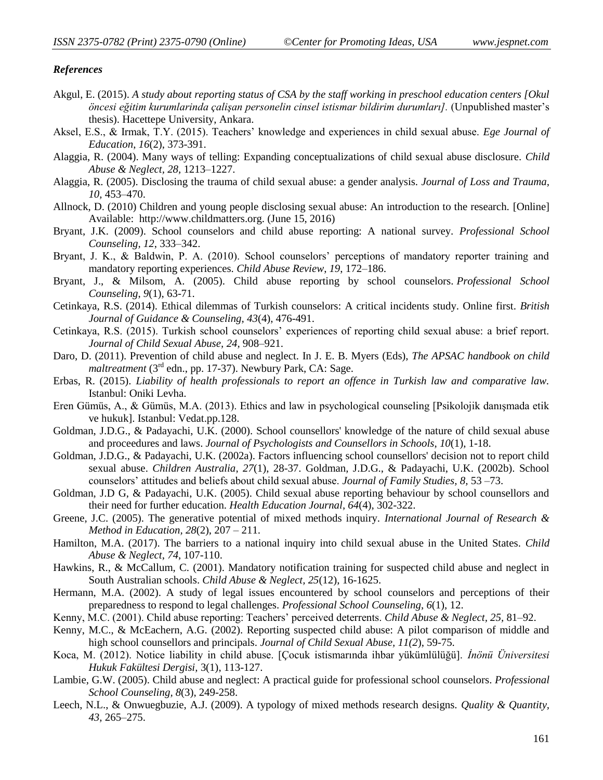#### *References*

- Akgul, E. (2015). *A study about reporting status of CSA by the staff working in preschool education centers [Okul öncesi eğitim kurumlarinda çalişan personelin cinsel istismar bildirim durumları].* (Unpublished master"s thesis). Hacettepe University, Ankara.
- Aksel, E.S., & Irmak, T.Y. (2015). Teachers" knowledge and experiences in child sexual abuse. *Ege Journal of Education*, *16*(2), 373-391.
- Alaggia, R. (2004). Many ways of telling: Expanding conceptualizations of child sexual abuse disclosure. *Child Abuse & Neglect, 28,* 1213–1227.
- Alaggia, R. (2005). Disclosing the trauma of child sexual abuse: a gender analysis. *Journal of Loss and Trauma, 10,* 453–470.
- Allnock, D. (2010) Children and young people disclosing sexual abuse: An introduction to the research. [Online] Available: [http://www.childmatters.org.](http://www.childmatters.org/) (June 15, 2016)
- Bryant, J.K. (2009). School counselors and child abuse reporting: A national survey. *Professional School Counseling, 12*, 333–342.
- Bryant, J. K., & Baldwin, P. A. (2010). School counselors' perceptions of mandatory reporter training and mandatory reporting experiences. *Child Abuse Review*, *19*, 172–186.
- Bryant, J., & Milsom, A. (2005). Child abuse reporting by school counselors. *Professional School Counseling*, *9*(1), 63-71.
- Cetinkaya, R.S. (2014). Ethical dilemmas of Turkish counselors: A critical incidents study. Online first. *British Journal of Guidance & Counseling, 43*(4), 476-491.
- Cetinkaya, R.S. (2015). Turkish school counselors" experiences of reporting child sexual abuse: a brief report. *Journal of Child Sexual Abuse, 24,* 908–921.
- Daro, D. (2011). Prevention of child abuse and neglect. In J. E. B. Myers (Eds), *The APSAC handbook on child maltreatment* (3<sup>rd</sup> edn., pp. 17-37). Newbury Park, CA: Sage.
- Erbas, R. (2015). *Liability of health professionals to report an offence in Turkish law and comparative law.*  Istanbul: Oniki Levha.
- Eren Gümüs, A., & Gümüs, M.A. (2013). Ethics and law in psychological counseling [Psikolojik danışmada etik ve hukuk]. Istanbul: Vedat.pp.128.
- Goldman, J.D.G., & Padayachi, U.K. (2000). School counsellors' knowledge of the nature of child sexual abuse and proceedures and laws. *Journal of Psychologists and Counsellors in Schools*, *10*(1), 1-18.
- Goldman, J.D.G., & Padayachi, U.K. (2002a). Factors influencing school counsellors' decision not to report child sexual abuse. *Children Australia*, *27*(1), 28-37. Goldman, J.D.G., & Padayachi, U.K. (2002b). School counselors" attitudes and beliefs about child sexual abuse. *Journal of Family Studies, 8,* 53 –73.
- Goldman, J.D G, & Padayachi, U.K. (2005). Child sexual abuse reporting behaviour by school counsellors and their need for further education. *Health Education Journal*, *64*(4), 302-322.
- Greene, J.C. (2005). The generative potential of mixed methods inquiry. *International Journal of Research & Method in Education, 28*(2), 207 – 211.
- Hamilton, M.A. (2017). The barriers to a national inquiry into child sexual abuse in the United States. *Child Abuse & Neglect*, *74*, 107-110.
- Hawkins, R., & McCallum, C. (2001). Mandatory notification training for suspected child abuse and neglect in South Australian schools. *Child Abuse & Neglect, 25*(12), 16-1625.
- Hermann, M.A. (2002). A study of legal issues encountered by school counselors and perceptions of their preparedness to respond to legal challenges. *Professional School Counseling*, *6*(1), 12.
- Kenny, M.C. (2001). Child abuse reporting: Teachers' perceived deterrents. *Child Abuse & Neglect, 25, 81–92*.
- Kenny, M.C., & McEachern, A.G. (2002). Reporting suspected child abuse: A pilot comparison of middle and high school counsellors and principals. *Journal of Child Sexual Abuse, 11(2*), 59-75.
- Koca, M. (2012). Notice liability in child abuse. [Çocuk istismarında ihbar yükümlülüğü]. *İnönü Üniversitesi Hukuk Fakültesi Dergisi,* 3(1), 113-127.
- Lambie, G.W. (2005). Child abuse and neglect: A practical guide for professional school counselors. *Professional School Counseling, 8*(3), 249-258.
- Leech, N.L., & Onwuegbuzie, A.J. (2009). A typology of mixed methods research designs. *Quality & Quantity, 43,* 265–275.